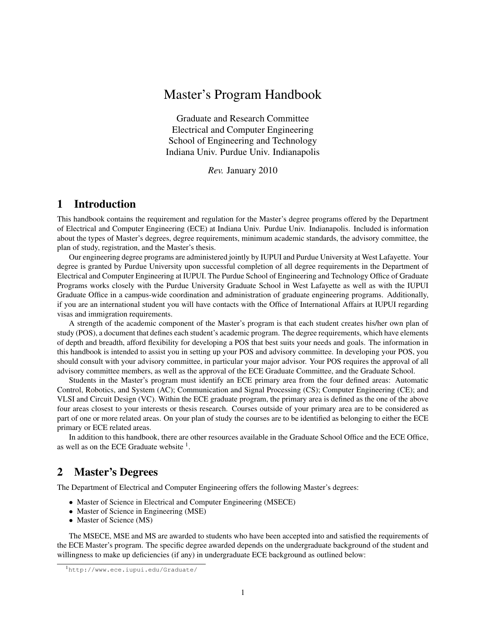# Master's Program Handbook

Graduate and Research Committee Electrical and Computer Engineering School of Engineering and Technology Indiana Univ. Purdue Univ. Indianapolis

*Rev.* January 2010

## 1 Introduction

This handbook contains the requirement and regulation for the Master's degree programs offered by the Department of Electrical and Computer Engineering (ECE) at Indiana Univ. Purdue Univ. Indianapolis. Included is information about the types of Master's degrees, degree requirements, minimum academic standards, the advisory committee, the plan of study, registration, and the Master's thesis.

Our engineering degree programs are administered jointly by IUPUI and Purdue University at West Lafayette. Your degree is granted by Purdue University upon successful completion of all degree requirements in the Department of Electrical and Computer Engineering at IUPUI. The Purdue School of Engineering and Technology Office of Graduate Programs works closely with the Purdue University Graduate School in West Lafayette as well as with the IUPUI Graduate Office in a campus-wide coordination and administration of graduate engineering programs. Additionally, if you are an international student you will have contacts with the Office of International Affairs at IUPUI regarding visas and immigration requirements.

A strength of the academic component of the Master's program is that each student creates his/her own plan of study (POS), a document that defines each student's academic program. The degree requirements, which have elements of depth and breadth, afford flexibility for developing a POS that best suits your needs and goals. The information in this handbook is intended to assist you in setting up your POS and advisory committee. In developing your POS, you should consult with your advisory committee, in particular your major advisor. Your POS requires the approval of all advisory committee members, as well as the approval of the ECE Graduate Committee, and the Graduate School.

Students in the Master's program must identify an ECE primary area from the four defined areas: Automatic Control, Robotics, and System (AC); Communication and Signal Processing (CS); Computer Engineering (CE); and VLSI and Circuit Design (VC). Within the ECE graduate program, the primary area is defined as the one of the above four areas closest to your interests or thesis research. Courses outside of your primary area are to be considered as part of one or more related areas. On your plan of study the courses are to be identified as belonging to either the ECE primary or ECE related areas.

In addition to this handbook, there are other resources available in the Graduate School Office and the ECE Office, as well as on the ECE Graduate website  $<sup>1</sup>$ .</sup>

## 2 Master's Degrees

The Department of Electrical and Computer Engineering offers the following Master's degrees:

- Master of Science in Electrical and Computer Engineering (MSECE)
- Master of Science in Engineering (MSE)
- Master of Science (MS)

The MSECE, MSE and MS are awarded to students who have been accepted into and satisfied the requirements of the ECE Master's program. The specific degree awarded depends on the undergraduate background of the student and willingness to make up deficiencies (if any) in undergraduate ECE background as outlined below:

<sup>1</sup>http://www.ece.iupui.edu/Graduate/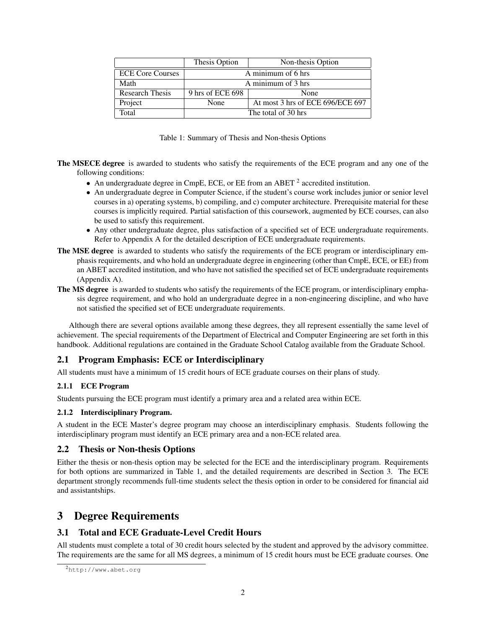|                         | Thesis Option<br>Non-thesis Option       |  |  |  |  |
|-------------------------|------------------------------------------|--|--|--|--|
| <b>ECE Core Courses</b> | A minimum of 6 hrs                       |  |  |  |  |
| Math                    | A minimum of 3 hrs                       |  |  |  |  |
| <b>Research Thesis</b>  | 9 hrs of ECE 698<br>None                 |  |  |  |  |
| Project                 | At most 3 hrs of ECE 696/ECE 697<br>None |  |  |  |  |
| Total                   | The total of 30 hrs                      |  |  |  |  |

|  |  |  |  | Table 1: Summary of Thesis and Non-thesis Options |  |
|--|--|--|--|---------------------------------------------------|--|
|--|--|--|--|---------------------------------------------------|--|

- The MSECE degree is awarded to students who satisfy the requirements of the ECE program and any one of the following conditions:
	- An undergraduate degree in CmpE, ECE, or EE from an ABET  $^2$  accredited institution.
	- An undergraduate degree in Computer Science, if the student's course work includes junior or senior level courses in a) operating systems, b) compiling, and c) computer architecture. Prerequisite material for these courses is implicitly required. Partial satisfaction of this coursework, augmented by ECE courses, can also be used to satisfy this requirement.
	- Any other undergraduate degree, plus satisfaction of a specified set of ECE undergraduate requirements. Refer to Appendix A for the detailed description of ECE undergraduate requirements.
- The MSE degree is awarded to students who satisfy the requirements of the ECE program or interdisciplinary emphasis requirements, and who hold an undergraduate degree in engineering (other than CmpE, ECE, or EE) from an ABET accredited institution, and who have not satisfied the specified set of ECE undergraduate requirements (Appendix A).
- The MS degree is awarded to students who satisfy the requirements of the ECE program, or interdisciplinary emphasis degree requirement, and who hold an undergraduate degree in a non-engineering discipline, and who have not satisfied the specified set of ECE undergraduate requirements.

Although there are several options available among these degrees, they all represent essentially the same level of achievement. The special requirements of the Department of Electrical and Computer Engineering are set forth in this handbook. Additional regulations are contained in the Graduate School Catalog available from the Graduate School.

## 2.1 Program Emphasis: ECE or Interdisciplinary

All students must have a minimum of 15 credit hours of ECE graduate courses on their plans of study.

### 2.1.1 ECE Program

Students pursuing the ECE program must identify a primary area and a related area within ECE.

#### 2.1.2 Interdisciplinary Program.

A student in the ECE Master's degree program may choose an interdisciplinary emphasis. Students following the interdisciplinary program must identify an ECE primary area and a non-ECE related area.

### 2.2 Thesis or Non-thesis Options

Either the thesis or non-thesis option may be selected for the ECE and the interdisciplinary program. Requirements for both options are summarized in Table 1, and the detailed requirements are described in Section 3. The ECE department strongly recommends full-time students select the thesis option in order to be considered for financial aid and assistantships.

## 3 Degree Requirements

## 3.1 Total and ECE Graduate-Level Credit Hours

All students must complete a total of 30 credit hours selected by the student and approved by the advisory committee. The requirements are the same for all MS degrees, a minimum of 15 credit hours must be ECE graduate courses. One

<sup>2</sup>http://www.abet.org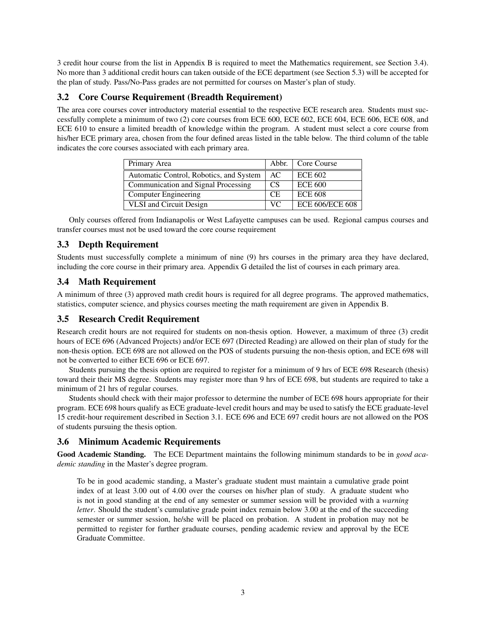3 credit hour course from the list in Appendix B is required to meet the Mathematics requirement, see Section 3.4). No more than 3 additional credit hours can taken outside of the ECE department (see Section 5.3) will be accepted for the plan of study. Pass/No-Pass grades are not permitted for courses on Master's plan of study.

## 3.2 Core Course Requirement (Breadth Requirement)

The area core courses cover introductory material essential to the respective ECE research area. Students must successfully complete a minimum of two (2) core courses from ECE 600, ECE 602, ECE 604, ECE 606, ECE 608, and ECE 610 to ensure a limited breadth of knowledge within the program. A student must select a core course from his/her ECE primary area, chosen from the four defined areas listed in the table below. The third column of the table indicates the core courses associated with each primary area.

| Primary Area                            |           | Abbr.   Core Course    |
|-----------------------------------------|-----------|------------------------|
| Automatic Control, Robotics, and System | AC.       | <b>ECE 602</b>         |
| Communication and Signal Processing     | CS        | <b>ECE 600</b>         |
| Computer Engineering                    | <b>CE</b> | <b>ECE 608</b>         |
| <b>VLSI</b> and Circuit Design          | VC.       | <b>ECE 606/ECE 608</b> |

Only courses offered from Indianapolis or West Lafayette campuses can be used. Regional campus courses and transfer courses must not be used toward the core course requirement

## 3.3 Depth Requirement

Students must successfully complete a minimum of nine (9) hrs courses in the primary area they have declared, including the core course in their primary area. Appendix G detailed the list of courses in each primary area.

## 3.4 Math Requirement

A minimum of three (3) approved math credit hours is required for all degree programs. The approved mathematics, statistics, computer science, and physics courses meeting the math requirement are given in Appendix B.

### 3.5 Research Credit Requirement

Research credit hours are not required for students on non-thesis option. However, a maximum of three (3) credit hours of ECE 696 (Advanced Projects) and/or ECE 697 (Directed Reading) are allowed on their plan of study for the non-thesis option. ECE 698 are not allowed on the POS of students pursuing the non-thesis option, and ECE 698 will not be converted to either ECE 696 or ECE 697.

Students pursuing the thesis option are required to register for a minimum of 9 hrs of ECE 698 Research (thesis) toward their their MS degree. Students may register more than 9 hrs of ECE 698, but students are required to take a minimum of 21 hrs of regular courses.

Students should check with their major professor to determine the number of ECE 698 hours appropriate for their program. ECE 698 hours qualify as ECE graduate-level credit hours and may be used to satisfy the ECE graduate-level 15 credit-hour requirement described in Section 3.1. ECE 696 and ECE 697 credit hours are not allowed on the POS of students pursuing the thesis option.

### 3.6 Minimum Academic Requirements

Good Academic Standing. The ECE Department maintains the following minimum standards to be in *good academic standing* in the Master's degree program.

To be in good academic standing, a Master's graduate student must maintain a cumulative grade point index of at least 3.00 out of 4.00 over the courses on his/her plan of study. A graduate student who is not in good standing at the end of any semester or summer session will be provided with a *warning letter*. Should the student's cumulative grade point index remain below 3.00 at the end of the succeeding semester or summer session, he/she will be placed on probation. A student in probation may not be permitted to register for further graduate courses, pending academic review and approval by the ECE Graduate Committee.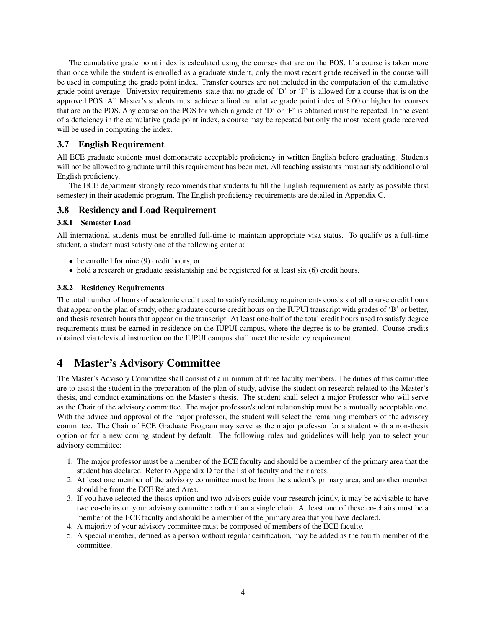The cumulative grade point index is calculated using the courses that are on the POS. If a course is taken more than once while the student is enrolled as a graduate student, only the most recent grade received in the course will be used in computing the grade point index. Transfer courses are not included in the computation of the cumulative grade point average. University requirements state that no grade of 'D' or 'F' is allowed for a course that is on the approved POS. All Master's students must achieve a final cumulative grade point index of 3.00 or higher for courses that are on the POS. Any course on the POS for which a grade of 'D' or 'F' is obtained must be repeated. In the event of a deficiency in the cumulative grade point index, a course may be repeated but only the most recent grade received will be used in computing the index.

### 3.7 English Requirement

All ECE graduate students must demonstrate acceptable proficiency in written English before graduating. Students will not be allowed to graduate until this requirement has been met. All teaching assistants must satisfy additional oral English proficiency.

The ECE department strongly recommends that students fulfill the English requirement as early as possible (first semester) in their academic program. The English proficiency requirements are detailed in Appendix C.

#### 3.8 Residency and Load Requirement

#### 3.8.1 Semester Load

All international students must be enrolled full-time to maintain appropriate visa status. To qualify as a full-time student, a student must satisfy one of the following criteria:

- be enrolled for nine (9) credit hours, or
- hold a research or graduate assistantship and be registered for at least six (6) credit hours.

#### 3.8.2 Residency Requirements

The total number of hours of academic credit used to satisfy residency requirements consists of all course credit hours that appear on the plan of study, other graduate course credit hours on the IUPUI transcript with grades of 'B' or better, and thesis research hours that appear on the transcript. At least one-half of the total credit hours used to satisfy degree requirements must be earned in residence on the IUPUI campus, where the degree is to be granted. Course credits obtained via televised instruction on the IUPUI campus shall meet the residency requirement.

## 4 Master's Advisory Committee

The Master's Advisory Committee shall consist of a minimum of three faculty members. The duties of this committee are to assist the student in the preparation of the plan of study, advise the student on research related to the Master's thesis, and conduct examinations on the Master's thesis. The student shall select a major Professor who will serve as the Chair of the advisory committee. The major professor/student relationship must be a mutually acceptable one. With the advice and approval of the major professor, the student will select the remaining members of the advisory committee. The Chair of ECE Graduate Program may serve as the major professor for a student with a non-thesis option or for a new coming student by default. The following rules and guidelines will help you to select your advisory committee:

- 1. The major professor must be a member of the ECE faculty and should be a member of the primary area that the student has declared. Refer to Appendix D for the list of faculty and their areas.
- 2. At least one member of the advisory committee must be from the student's primary area, and another member should be from the ECE Related Area.
- 3. If you have selected the thesis option and two advisors guide your research jointly, it may be advisable to have two co-chairs on your advisory committee rather than a single chair. At least one of these co-chairs must be a member of the ECE faculty and should be a member of the primary area that you have declared.
- 4. A majority of your advisory committee must be composed of members of the ECE faculty.
- 5. A special member, defined as a person without regular certification, may be added as the fourth member of the committee.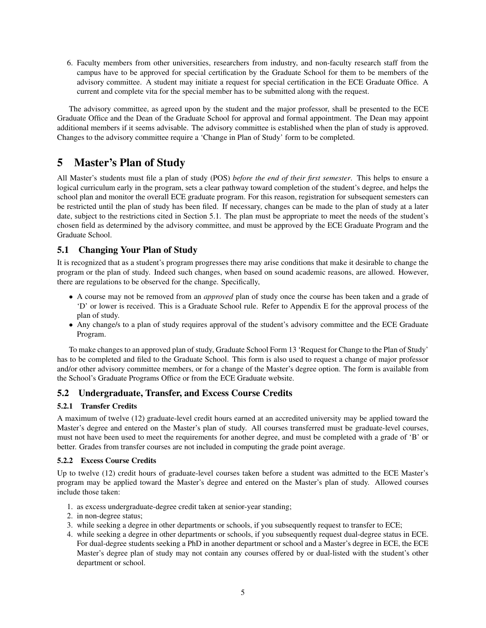6. Faculty members from other universities, researchers from industry, and non-faculty research staff from the campus have to be approved for special certification by the Graduate School for them to be members of the advisory committee. A student may initiate a request for special certification in the ECE Graduate Office. A current and complete vita for the special member has to be submitted along with the request.

The advisory committee, as agreed upon by the student and the major professor, shall be presented to the ECE Graduate Office and the Dean of the Graduate School for approval and formal appointment. The Dean may appoint additional members if it seems advisable. The advisory committee is established when the plan of study is approved. Changes to the advisory committee require a 'Change in Plan of Study' form to be completed.

# 5 Master's Plan of Study

All Master's students must file a plan of study (POS) *before the end of their first semester*. This helps to ensure a logical curriculum early in the program, sets a clear pathway toward completion of the student's degree, and helps the school plan and monitor the overall ECE graduate program. For this reason, registration for subsequent semesters can be restricted until the plan of study has been filed. If necessary, changes can be made to the plan of study at a later date, subject to the restrictions cited in Section 5.1. The plan must be appropriate to meet the needs of the student's chosen field as determined by the advisory committee, and must be approved by the ECE Graduate Program and the Graduate School.

## 5.1 Changing Your Plan of Study

It is recognized that as a student's program progresses there may arise conditions that make it desirable to change the program or the plan of study. Indeed such changes, when based on sound academic reasons, are allowed. However, there are regulations to be observed for the change. Specifically,

- A course may not be removed from an *approved* plan of study once the course has been taken and a grade of 'D' or lower is received. This is a Graduate School rule. Refer to Appendix E for the approval process of the plan of study.
- Any change/s to a plan of study requires approval of the student's advisory committee and the ECE Graduate Program.

To make changes to an approved plan of study, Graduate School Form 13 'Request for Change to the Plan of Study' has to be completed and filed to the Graduate School. This form is also used to request a change of major professor and/or other advisory committee members, or for a change of the Master's degree option. The form is available from the School's Graduate Programs Office or from the ECE Graduate website.

### 5.2 Undergraduate, Transfer, and Excess Course Credits

### 5.2.1 Transfer Credits

A maximum of twelve (12) graduate-level credit hours earned at an accredited university may be applied toward the Master's degree and entered on the Master's plan of study. All courses transferred must be graduate-level courses, must not have been used to meet the requirements for another degree, and must be completed with a grade of 'B' or better. Grades from transfer courses are not included in computing the grade point average.

#### 5.2.2 Excess Course Credits

Up to twelve (12) credit hours of graduate-level courses taken before a student was admitted to the ECE Master's program may be applied toward the Master's degree and entered on the Master's plan of study. Allowed courses include those taken:

- 1. as excess undergraduate-degree credit taken at senior-year standing;
- 2. in non-degree status;
- 3. while seeking a degree in other departments or schools, if you subsequently request to transfer to ECE;
- 4. while seeking a degree in other departments or schools, if you subsequently request dual-degree status in ECE. For dual-degree students seeking a PhD in another department or school and a Master's degree in ECE, the ECE Master's degree plan of study may not contain any courses offered by or dual-listed with the student's other department or school.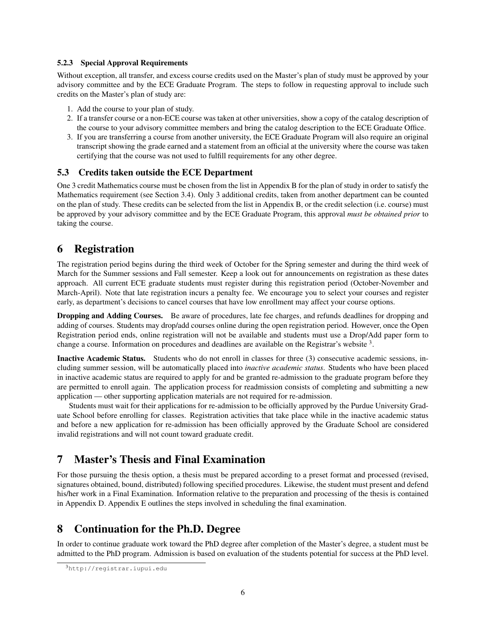#### 5.2.3 Special Approval Requirements

Without exception, all transfer, and excess course credits used on the Master's plan of study must be approved by your advisory committee and by the ECE Graduate Program. The steps to follow in requesting approval to include such credits on the Master's plan of study are:

- 1. Add the course to your plan of study.
- 2. If a transfer course or a non-ECE course was taken at other universities, show a copy of the catalog description of the course to your advisory committee members and bring the catalog description to the ECE Graduate Office.
- 3. If you are transferring a course from another university, the ECE Graduate Program will also require an original transcript showing the grade earned and a statement from an official at the university where the course was taken certifying that the course was not used to fulfill requirements for any other degree.

#### 5.3 Credits taken outside the ECE Department

One 3 credit Mathematics course must be chosen from the list in Appendix B for the plan of study in order to satisfy the Mathematics requirement (see Section 3.4). Only 3 additional credits, taken from another department can be counted on the plan of study. These credits can be selected from the list in Appendix B, or the credit selection (i.e. course) must be approved by your advisory committee and by the ECE Graduate Program, this approval *must be obtained prior* to taking the course.

## 6 Registration

The registration period begins during the third week of October for the Spring semester and during the third week of March for the Summer sessions and Fall semester. Keep a look out for announcements on registration as these dates approach. All current ECE graduate students must register during this registration period (October-November and March-April). Note that late registration incurs a penalty fee. We encourage you to select your courses and register early, as department's decisions to cancel courses that have low enrollment may affect your course options.

Dropping and Adding Courses. Be aware of procedures, late fee charges, and refunds deadlines for dropping and adding of courses. Students may drop/add courses online during the open registration period. However, once the Open Registration period ends, online registration will not be available and students must use a Drop/Add paper form to change a course. Information on procedures and deadlines are available on the Registrar's website  $3$ .

Inactive Academic Status. Students who do not enroll in classes for three (3) consecutive academic sessions, including summer session, will be automatically placed into *inactive academic status*. Students who have been placed in inactive academic status are required to apply for and be granted re-admission to the graduate program before they are permitted to enroll again. The application process for readmission consists of completing and submitting a new application — other supporting application materials are not required for re-admission.

Students must wait for their applications for re-admission to be officially approved by the Purdue University Graduate School before enrolling for classes. Registration activities that take place while in the inactive academic status and before a new application for re-admission has been officially approved by the Graduate School are considered invalid registrations and will not count toward graduate credit.

## 7 Master's Thesis and Final Examination

For those pursuing the thesis option, a thesis must be prepared according to a preset format and processed (revised, signatures obtained, bound, distributed) following specified procedures. Likewise, the student must present and defend his/her work in a Final Examination. Information relative to the preparation and processing of the thesis is contained in Appendix D. Appendix E outlines the steps involved in scheduling the final examination.

## 8 Continuation for the Ph.D. Degree

In order to continue graduate work toward the PhD degree after completion of the Master's degree, a student must be admitted to the PhD program. Admission is based on evaluation of the students potential for success at the PhD level.

<sup>3</sup>http://registrar.iupui.edu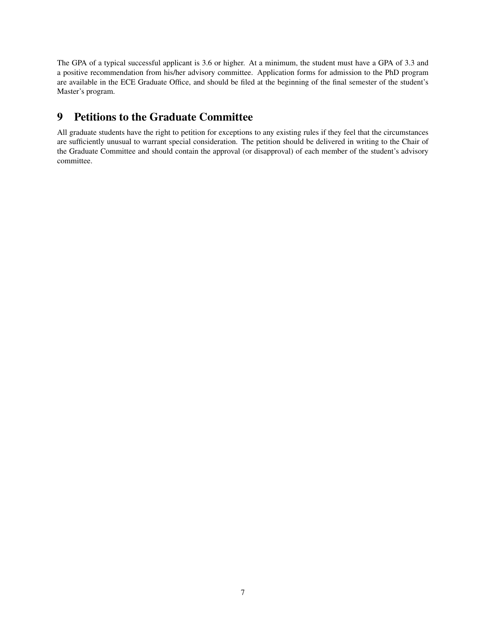The GPA of a typical successful applicant is 3.6 or higher. At a minimum, the student must have a GPA of 3.3 and a positive recommendation from his/her advisory committee. Application forms for admission to the PhD program are available in the ECE Graduate Office, and should be filed at the beginning of the final semester of the student's Master's program.

# 9 Petitions to the Graduate Committee

All graduate students have the right to petition for exceptions to any existing rules if they feel that the circumstances are sufficiently unusual to warrant special consideration. The petition should be delivered in writing to the Chair of the Graduate Committee and should contain the approval (or disapproval) of each member of the student's advisory committee.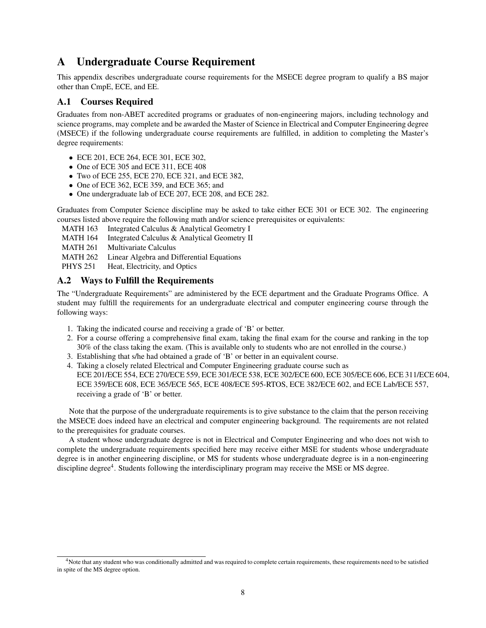# A Undergraduate Course Requirement

This appendix describes undergraduate course requirements for the MSECE degree program to qualify a BS major other than CmpE, ECE, and EE.

## A.1 Courses Required

Graduates from non-ABET accredited programs or graduates of non-engineering majors, including technology and science programs, may complete and be awarded the Master of Science in Electrical and Computer Engineering degree (MSECE) if the following undergraduate course requirements are fulfilled, in addition to completing the Master's degree requirements:

- ECE 201, ECE 264, ECE 301, ECE 302,
- One of ECE 305 and ECE 311, ECE 408
- Two of ECE 255, ECE 270, ECE 321, and ECE 382,
- One of ECE 362, ECE 359, and ECE 365; and
- One undergraduate lab of ECE 207, ECE 208, and ECE 282.

Graduates from Computer Science discipline may be asked to take either ECE 301 or ECE 302. The engineering courses listed above require the following math and/or science prerequisites or equivalents:

MATH 163 Integrated Calculus & Analytical Geometry I

MATH 164 Integrated Calculus & Analytical Geometry II

MATH 261 Multivariate Calculus

MATH 262 Linear Algebra and Differential Equations

PHYS 251 Heat, Electricity, and Optics

## A.2 Ways to Fulfill the Requirements

The "Undergraduate Requirements" are administered by the ECE department and the Graduate Programs Office. A student may fulfill the requirements for an undergraduate electrical and computer engineering course through the following ways:

- 1. Taking the indicated course and receiving a grade of 'B' or better.
- 2. For a course offering a comprehensive final exam, taking the final exam for the course and ranking in the top 30% of the class taking the exam. (This is available only to students who are not enrolled in the course.)
- 3. Establishing that s/he had obtained a grade of 'B' or better in an equivalent course.
- 4. Taking a closely related Electrical and Computer Engineering graduate course such as ECE 201/ECE 554, ECE 270/ECE 559, ECE 301/ECE 538, ECE 302/ECE 600, ECE 305/ECE 606, ECE 311/ECE 604, ECE 359/ECE 608, ECE 365/ECE 565, ECE 408/ECE 595-RTOS, ECE 382/ECE 602, and ECE Lab/ECE 557, receiving a grade of 'B' or better.

Note that the purpose of the undergraduate requirements is to give substance to the claim that the person receiving the MSECE does indeed have an electrical and computer engineering background. The requirements are not related to the prerequisites for graduate courses.

A student whose undergraduate degree is not in Electrical and Computer Engineering and who does not wish to complete the undergraduate requirements specified here may receive either MSE for students whose undergraduate degree is in another engineering discipline, or MS for students whose undergraduate degree is in a non-engineering discipline degree<sup>4</sup>. Students following the interdisciplinary program may receive the MSE or MS degree.

<sup>4</sup>Note that any student who was conditionally admitted and was required to complete certain requirements, these requirements need to be satisfied in spite of the MS degree option.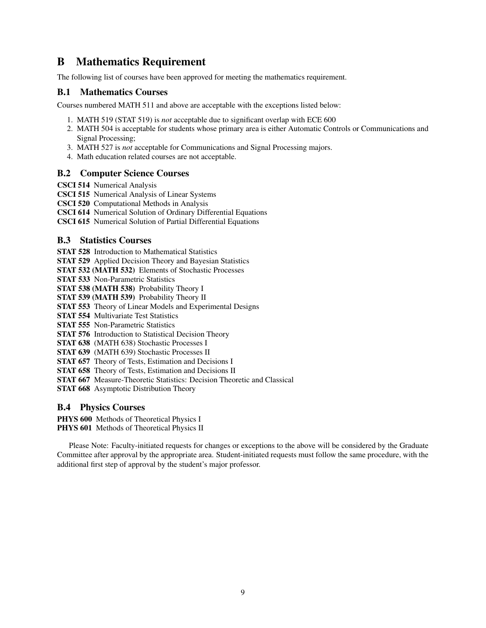# B Mathematics Requirement

The following list of courses have been approved for meeting the mathematics requirement.

## B.1 Mathematics Courses

Courses numbered MATH 511 and above are acceptable with the exceptions listed below:

- 1. MATH 519 (STAT 519) is *not* acceptable due to significant overlap with ECE 600
- 2. MATH 504 is acceptable for students whose primary area is either Automatic Controls or Communications and Signal Processing;
- 3. MATH 527 is *not* acceptable for Communications and Signal Processing majors.
- 4. Math education related courses are not acceptable.

### B.2 Computer Science Courses

- CSCI 514 Numerical Analysis
- CSCI 515 Numerical Analysis of Linear Systems
- CSCI 520 Computational Methods in Analysis
- CSCI 614 Numerical Solution of Ordinary Differential Equations

CSCI 615 Numerical Solution of Partial Differential Equations

### B.3 Statistics Courses

STAT 528 Introduction to Mathematical Statistics

STAT 529 Applied Decision Theory and Bayesian Statistics

STAT 532 (MATH 532) Elements of Stochastic Processes

STAT 533 Non-Parametric Statistics

STAT 538 (MATH 538) Probability Theory I

STAT 539 (MATH 539) Probability Theory II

STAT 553 Theory of Linear Models and Experimental Designs

STAT 554 Multivariate Test Statistics

STAT 555 Non-Parametric Statistics

STAT 576 Introduction to Statistical Decision Theory

STAT 638 (MATH 638) Stochastic Processes I

STAT 639 (MATH 639) Stochastic Processes II

STAT 657 Theory of Tests, Estimation and Decisions I

STAT 658 Theory of Tests, Estimation and Decisions II

STAT 667 Measure-Theoretic Statistics: Decision Theoretic and Classical

STAT 668 Asymptotic Distribution Theory

### B.4 Physics Courses

PHYS 600 Methods of Theoretical Physics I PHYS 601 Methods of Theoretical Physics II

Please Note: Faculty-initiated requests for changes or exceptions to the above will be considered by the Graduate Committee after approval by the appropriate area. Student-initiated requests must follow the same procedure, with the additional first step of approval by the student's major professor.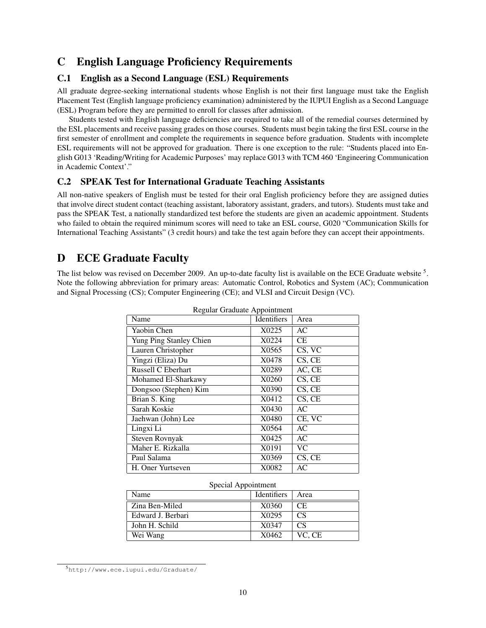## C English Language Proficiency Requirements

## C.1 English as a Second Language (ESL) Requirements

All graduate degree-seeking international students whose English is not their first language must take the English Placement Test (English language proficiency examination) administered by the IUPUI English as a Second Language (ESL) Program before they are permitted to enroll for classes after admission.

Students tested with English language deficiencies are required to take all of the remedial courses determined by the ESL placements and receive passing grades on those courses. Students must begin taking the first ESL course in the first semester of enrollment and complete the requirements in sequence before graduation. Students with incomplete ESL requirements will not be approved for graduation. There is one exception to the rule: "Students placed into English G013 'Reading/Writing for Academic Purposes' may replace G013 with TCM 460 'Engineering Communication in Academic Context'."

## C.2 SPEAK Test for International Graduate Teaching Assistants

All non-native speakers of English must be tested for their oral English proficiency before they are assigned duties that involve direct student contact (teaching assistant, laboratory assistant, graders, and tutors). Students must take and pass the SPEAK Test, a nationally standardized test before the students are given an academic appointment. Students who failed to obtain the required minimum scores will need to take an ESL course, G020 "Communication Skills for International Teaching Assistants" (3 credit hours) and take the test again before they can accept their appointments.

# D ECE Graduate Faculty

The list below was revised on December 2009. An up-to-date faculty list is available on the ECE Graduate website <sup>5</sup>. Note the following abbreviation for primary areas: Automatic Control, Robotics and System (AC); Communication and Signal Processing (CS); Computer Engineering (CE); and VLSI and Circuit Design (VC).

| Name                    | Identifiers | Area                        |
|-------------------------|-------------|-----------------------------|
| Yaobin Chen             | X0225       | AC                          |
| Yung Ping Stanley Chien | X0224       | <b>CE</b>                   |
| Lauren Christopher      | X0565       | $\overline{\text{CS}}$ , VC |
| Yingzi (Eliza) Du       | X0478       | CS, CE                      |
| Russell C Eberhart      | X0289       | AC, CE                      |
| Mohamed El-Sharkawy     | X0260       | CS, CE                      |
| Dongsoo (Stephen) Kim   | X0390       | CS, CE                      |
| Brian S. King           | X0412       | CS, CE                      |
| Sarah Koskie            | X0430       | AC                          |
| Jaehwan (John) Lee      | X0480       | CE, VC                      |
| Lingxi Li               | X0564       | AC                          |
| Steven Rovnyak          | X0425       | AC                          |
| Maher E. Rizkalla       | X0191       | <b>VC</b>                   |
| Paul Salama             | X0369       | CS, CE                      |
| H. Oner Yurtseven       | X0082       | AC                          |

Regular Graduate Appointment

| Special Appointment |                    |                 |  |  |  |  |
|---------------------|--------------------|-----------------|--|--|--|--|
| Name                | <b>Identifiers</b> | Area            |  |  |  |  |
| Zina Ben-Miled      | X0360              | CE.             |  |  |  |  |
| Edward J. Berbari   | X <sub>0295</sub>  | CS <sup>-</sup> |  |  |  |  |
| John H. Schild      | X0347              | CS              |  |  |  |  |
| Wei Wang            | X0462              | VC, CE          |  |  |  |  |

<sup>5</sup>http://www.ece.iupui.edu/Graduate/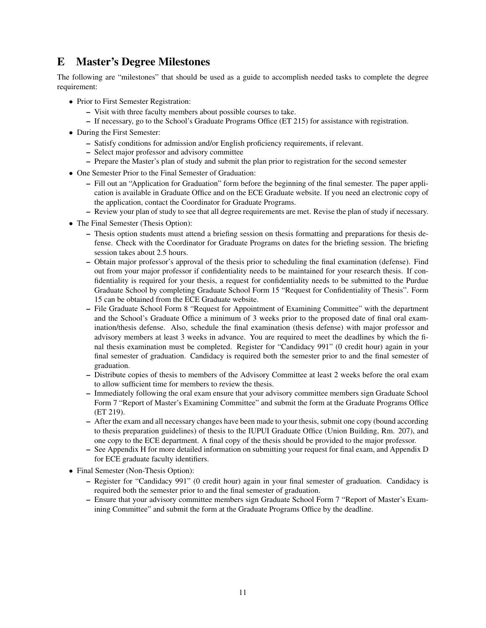# E Master's Degree Milestones

The following are "milestones" that should be used as a guide to accomplish needed tasks to complete the degree requirement:

- Prior to First Semester Registration:
	- Visit with three faculty members about possible courses to take.
	- If necessary, go to the School's Graduate Programs Office (ET 215) for assistance with registration.
- During the First Semester:
	- Satisfy conditions for admission and/or English proficiency requirements, if relevant.
	- Select major professor and advisory committee
	- Prepare the Master's plan of study and submit the plan prior to registration for the second semester
- One Semester Prior to the Final Semester of Graduation:
	- Fill out an "Application for Graduation" form before the beginning of the final semester. The paper application is available in Graduate Office and on the ECE Graduate website. If you need an electronic copy of the application, contact the Coordinator for Graduate Programs.
	- Review your plan of study to see that all degree requirements are met. Revise the plan of study if necessary.
- The Final Semester (Thesis Option):
	- Thesis option students must attend a briefing session on thesis formatting and preparations for thesis defense. Check with the Coordinator for Graduate Programs on dates for the briefing session. The briefing session takes about 2.5 hours.
	- Obtain major professor's approval of the thesis prior to scheduling the final examination (defense). Find out from your major professor if confidentiality needs to be maintained for your research thesis. If confidentiality is required for your thesis, a request for confidentiality needs to be submitted to the Purdue Graduate School by completing Graduate School Form 15 "Request for Confidentiality of Thesis". Form 15 can be obtained from the ECE Graduate website.
	- File Graduate School Form 8 "Request for Appointment of Examining Committee" with the department and the School's Graduate Office a minimum of 3 weeks prior to the proposed date of final oral examination/thesis defense. Also, schedule the final examination (thesis defense) with major professor and advisory members at least 3 weeks in advance. You are required to meet the deadlines by which the final thesis examination must be completed. Register for "Candidacy 991" (0 credit hour) again in your final semester of graduation. Candidacy is required both the semester prior to and the final semester of graduation.
	- Distribute copies of thesis to members of the Advisory Committee at least 2 weeks before the oral exam to allow sufficient time for members to review the thesis.
	- Immediately following the oral exam ensure that your advisory committee members sign Graduate School Form 7 "Report of Master's Examining Committee" and submit the form at the Graduate Programs Office (ET 219).
	- After the exam and all necessary changes have been made to your thesis, submit one copy (bound according to thesis preparation guidelines) of thesis to the IUPUI Graduate Office (Union Building, Rm. 207), and one copy to the ECE department. A final copy of the thesis should be provided to the major professor.
	- See Appendix H for more detailed information on submitting your request for final exam, and Appendix D for ECE graduate faculty identifiers.
- Final Semester (Non-Thesis Option):
	- Register for "Candidacy 991" (0 credit hour) again in your final semester of graduation. Candidacy is required both the semester prior to and the final semester of graduation.
	- Ensure that your advisory committee members sign Graduate School Form 7 "Report of Master's Examining Committee" and submit the form at the Graduate Programs Office by the deadline.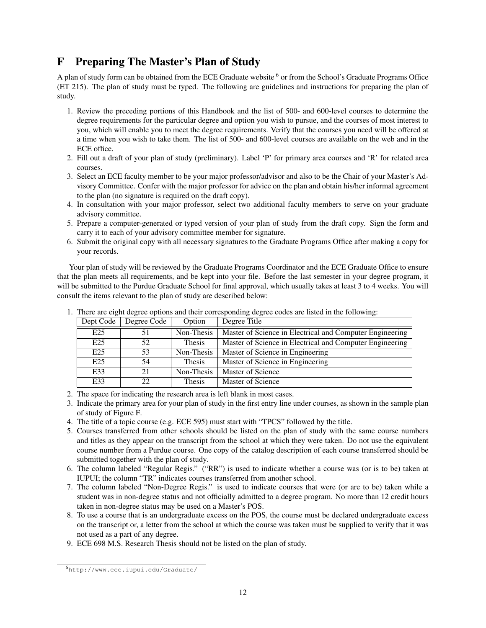# F Preparing The Master's Plan of Study

A plan of study form can be obtained from the ECE Graduate website <sup>6</sup> or from the School's Graduate Programs Office (ET 215). The plan of study must be typed. The following are guidelines and instructions for preparing the plan of study.

- 1. Review the preceding portions of this Handbook and the list of 500- and 600-level courses to determine the degree requirements for the particular degree and option you wish to pursue, and the courses of most interest to you, which will enable you to meet the degree requirements. Verify that the courses you need will be offered at a time when you wish to take them. The list of 500- and 600-level courses are available on the web and in the ECE office.
- 2. Fill out a draft of your plan of study (preliminary). Label 'P' for primary area courses and 'R' for related area courses.
- 3. Select an ECE faculty member to be your major professor/advisor and also to be the Chair of your Master's Advisory Committee. Confer with the major professor for advice on the plan and obtain his/her informal agreement to the plan (no signature is required on the draft copy).
- 4. In consultation with your major professor, select two additional faculty members to serve on your graduate advisory committee.
- 5. Prepare a computer-generated or typed version of your plan of study from the draft copy. Sign the form and carry it to each of your advisory committee member for signature.
- 6. Submit the original copy with all necessary signatures to the Graduate Programs Office after making a copy for your records.

Your plan of study will be reviewed by the Graduate Programs Coordinator and the ECE Graduate Office to ensure that the plan meets all requirements, and be kept into your file. Before the last semester in your degree program, it will be submitted to the Purdue Graduate School for final approval, which usually takes at least 3 to 4 weeks. You will consult the items relevant to the plan of study are described below:

| Dept Code       | Degree Code | Option        | Degree Title                                             |
|-----------------|-------------|---------------|----------------------------------------------------------|
| E25             |             | Non-Thesis    | Master of Science in Electrical and Computer Engineering |
| E <sub>25</sub> | 52          | Thesis        | Master of Science in Electrical and Computer Engineering |
| E <sub>25</sub> | 53          | Non-Thesis    | Master of Science in Engineering                         |
| E25             | 54          | <b>Thesis</b> | Master of Science in Engineering                         |
| E33             | 21          | Non-Thesis    | Master of Science                                        |
| E33             | 22.         | Thesis        | Master of Science                                        |

1. There are eight degree options and their corresponding degree codes are listed in the following:

- 2. The space for indicating the research area is left blank in most cases.
- 3. Indicate the primary area for your plan of study in the first entry line under courses, as shown in the sample plan of study of Figure F.
- 4. The title of a topic course (e.g. ECE 595) must start with "TPCS" followed by the title.
- 5. Courses transferred from other schools should be listed on the plan of study with the same course numbers and titles as they appear on the transcript from the school at which they were taken. Do not use the equivalent course number from a Purdue course. One copy of the catalog description of each course transferred should be submitted together with the plan of study.
- 6. The column labeled "Regular Regis." ("RR") is used to indicate whether a course was (or is to be) taken at IUPUI; the column "TR" indicates courses transferred from another school.
- 7. The column labeled "Non-Degree Regis." is used to indicate courses that were (or are to be) taken while a student was in non-degree status and not officially admitted to a degree program. No more than 12 credit hours taken in non-degree status may be used on a Master's POS.
- 8. To use a course that is an undergraduate excess on the POS, the course must be declared undergraduate excess on the transcript or, a letter from the school at which the course was taken must be supplied to verify that it was not used as a part of any degree.
- 9. ECE 698 M.S. Research Thesis should not be listed on the plan of study.

<sup>6</sup>http://www.ece.iupui.edu/Graduate/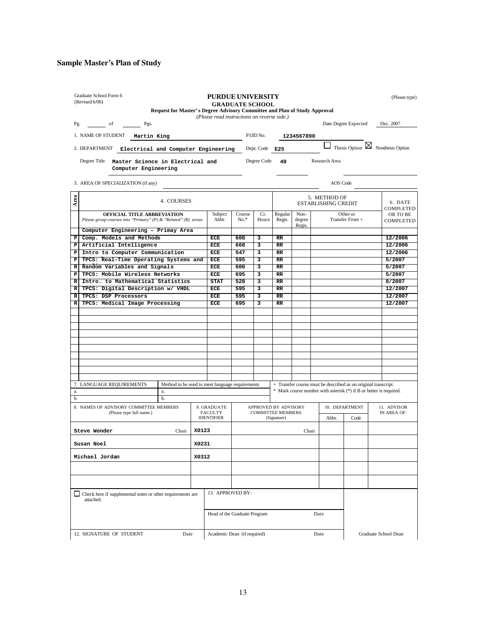## Sample Master's Plan of Study

|                                      | Graduate School Form 6<br>(Revised 6/06)                                                      | Request for Master's Degree Advisory Committee and Plan of Study Approval |                                     | <b>PURDUE UNIVERSITY</b>                    | <b>GRADUATE SCHOOL</b> |                          |                   |                |                                                                    |                            |             | (Please type)                              |
|--------------------------------------|-----------------------------------------------------------------------------------------------|---------------------------------------------------------------------------|-------------------------------------|---------------------------------------------|------------------------|--------------------------|-------------------|----------------|--------------------------------------------------------------------|----------------------------|-------------|--------------------------------------------|
|                                      |                                                                                               |                                                                           |                                     | (Please read instructions on reverse side.) |                        |                          |                   |                |                                                                    |                            |             |                                            |
| Pg.                                  | of<br>Pgs.                                                                                    |                                                                           |                                     |                                             |                        |                          |                   |                |                                                                    | Date Degree Expected       |             | Dec. 2007                                  |
|                                      | 1. NAME OF STUDENT<br>Martin King                                                             |                                                                           |                                     |                                             |                        | PUID No.                 |                   | 1234567890     |                                                                    |                            |             |                                            |
|                                      |                                                                                               |                                                                           |                                     |                                             |                        |                          |                   |                |                                                                    |                            |             | Thesis Option $\boxtimes$ Nonthesis Option |
|                                      | 2. DEPARTMENT<br>Electrical and Computer Engineering                                          |                                                                           |                                     |                                             |                        | Dept. Code E25           |                   |                |                                                                    |                            |             |                                            |
|                                      | Degree Title<br>Master Science in Electrical and<br>Computer Engineering                      |                                                                           |                                     |                                             |                        | Degree Code              | 49                |                | Research Area                                                      |                            |             |                                            |
|                                      | 3. AREA OF SPECIALIZATION (if any)                                                            |                                                                           |                                     |                                             |                        |                          |                   |                | AOS Code                                                           |                            |             |                                            |
|                                      |                                                                                               |                                                                           |                                     |                                             |                        |                          |                   |                |                                                                    |                            |             |                                            |
| Area                                 |                                                                                               | 4. COURSES                                                                |                                     |                                             |                        |                          |                   |                | 5. METHOD OF                                                       | <b>ESTABLISHING CREDIT</b> |             | 6. DATE                                    |
|                                      | OFFICIAL TITLE ABBREVIATION<br>Please group courses into "Primary" (P) & "Related" (R) areas. |                                                                           |                                     | Subject<br>Abbr.                            | Course<br>$No.*$       | Cr.<br>Hours             | Regular<br>Regis. | Non-<br>degree | Other or<br>Transfer From +                                        |                            |             | COMPLETED<br>OR TO BE<br>COMPLETED         |
|                                      | Computer Engineering - Primay Area                                                            |                                                                           |                                     |                                             |                        |                          |                   | Regis.         |                                                                    |                            |             |                                            |
| ₽                                    | Comp. Models and Methods                                                                      |                                                                           |                                     | ECE                                         | 608                    | з                        | RR                |                |                                                                    |                            |             | 12/2006                                    |
| P                                    | Artificial Intelligence                                                                       |                                                                           |                                     | ECE                                         | 668                    | з                        | RR                |                |                                                                    |                            |             | 12/2006                                    |
| Р                                    | Intro to Computer Communication                                                               |                                                                           |                                     | <b>ECE</b>                                  | 547                    | 3                        | RR                |                |                                                                    |                            |             | 12/2006                                    |
| Р                                    | TPCS: Real-Time Operating Systems and                                                         |                                                                           |                                     | ECE                                         | 595                    | з                        | RR                |                |                                                                    |                            |             | 5/2007                                     |
| R                                    | Random Variables and Signals                                                                  |                                                                           |                                     | ECE                                         | 600                    | 3                        | $_{\rm RR}$       |                |                                                                    |                            |             | 5/2007                                     |
| P                                    | TPCS: Mobile Wireless Networks                                                                |                                                                           |                                     | ECE                                         | 695                    | з                        | RR                |                |                                                                    |                            |             | 5/2007                                     |
| R<br>$\mathbb{R}$                    | Intro. to Mathematical Statistics<br>TPCS: Digital Description w/ VHDL                        |                                                                           |                                     | <b>STAT</b><br>ECE                          | 528<br>595             | 3<br>3                   | RR<br>RR          |                |                                                                    |                            |             | 8/2007<br>12/2007                          |
| R                                    | TPCS: DSP Processors                                                                          |                                                                           |                                     | ECE                                         | 595                    | 3                        | RR                |                |                                                                    |                            |             | 12/2007                                    |
| R                                    | TPCS: Medical Image Processing                                                                |                                                                           |                                     | ECE                                         | 695                    | 3                        | RR                |                |                                                                    |                            |             | 12/2007                                    |
|                                      |                                                                                               |                                                                           |                                     |                                             |                        |                          |                   |                |                                                                    |                            |             |                                            |
|                                      |                                                                                               |                                                                           |                                     |                                             |                        |                          |                   |                |                                                                    |                            |             |                                            |
|                                      |                                                                                               |                                                                           |                                     |                                             |                        |                          |                   |                |                                                                    |                            |             |                                            |
|                                      |                                                                                               |                                                                           |                                     |                                             |                        |                          |                   |                |                                                                    |                            |             |                                            |
|                                      |                                                                                               |                                                                           |                                     |                                             |                        |                          |                   |                |                                                                    |                            |             |                                            |
|                                      |                                                                                               |                                                                           |                                     |                                             |                        |                          |                   |                |                                                                    |                            |             |                                            |
|                                      |                                                                                               |                                                                           |                                     |                                             |                        |                          |                   |                |                                                                    |                            |             |                                            |
|                                      |                                                                                               |                                                                           |                                     |                                             |                        |                          |                   |                |                                                                    |                            |             |                                            |
|                                      |                                                                                               |                                                                           |                                     |                                             |                        |                          |                   |                |                                                                    |                            |             |                                            |
|                                      | 7. LANGUAGE REQUIREMENTS                                                                      | Method to be used to meet language requirements                           |                                     |                                             |                        |                          |                   |                | + Transfer course must be described as on original transcript.     |                            |             |                                            |
| a.                                   |                                                                                               | a.                                                                        |                                     |                                             |                        |                          |                   |                | * Mark course number with asterisk (*) if B or better is required. |                            |             |                                            |
| b.                                   |                                                                                               | b.                                                                        |                                     |                                             |                        |                          |                   |                |                                                                    |                            |             |                                            |
|                                      | 8. NAMES OF ADVISORY COMMITTEE MEMBERS                                                        |                                                                           |                                     | 9. GRADUATE                                 |                        | APPROVED BY ADVISORY     |                   |                |                                                                    | 10. DEPARTMENT             |             | 11. ADVISOR                                |
|                                      | (Please type full name.)                                                                      |                                                                           |                                     | <b>FACULTY</b><br><b>IDENTIFIER</b>         |                        | <b>COMMITTEE MEMBERS</b> | (Signature)       |                | Abbr.<br>Code                                                      |                            | IN AREA OF: |                                            |
|                                      |                                                                                               |                                                                           |                                     |                                             |                        |                          |                   |                |                                                                    |                            |             |                                            |
|                                      | Steve Wonder                                                                                  | Chair                                                                     | X0123                               |                                             |                        |                          |                   | Chair          |                                                                    |                            |             |                                            |
|                                      | Susan Noel                                                                                    |                                                                           | X0231                               |                                             |                        |                          |                   |                |                                                                    |                            |             |                                            |
|                                      | Michael Jordan<br>X0312                                                                       |                                                                           |                                     |                                             |                        |                          |                   |                |                                                                    |                            |             |                                            |
|                                      |                                                                                               |                                                                           |                                     |                                             |                        |                          |                   |                |                                                                    |                            |             |                                            |
|                                      |                                                                                               |                                                                           |                                     |                                             |                        |                          |                   |                |                                                                    |                            |             |                                            |
|                                      | $\Box$ Check here if supplemental notes or other requirements are                             |                                                                           |                                     |                                             | 13. APPROVED BY:       |                          |                   |                |                                                                    |                            |             |                                            |
| attached.                            |                                                                                               |                                                                           |                                     |                                             |                        |                          |                   |                |                                                                    |                            |             |                                            |
| Head of the Graduate Program<br>Date |                                                                                               |                                                                           |                                     |                                             |                        |                          |                   |                |                                                                    |                            |             |                                            |
|                                      |                                                                                               | Date                                                                      |                                     |                                             |                        |                          |                   |                |                                                                    |                            |             |                                            |
|                                      | 12. SIGNATURE OF STUDENT                                                                      |                                                                           | Academic Dean (if required)<br>Date |                                             |                        |                          |                   |                | Graduate School Dean                                               |                            |             |                                            |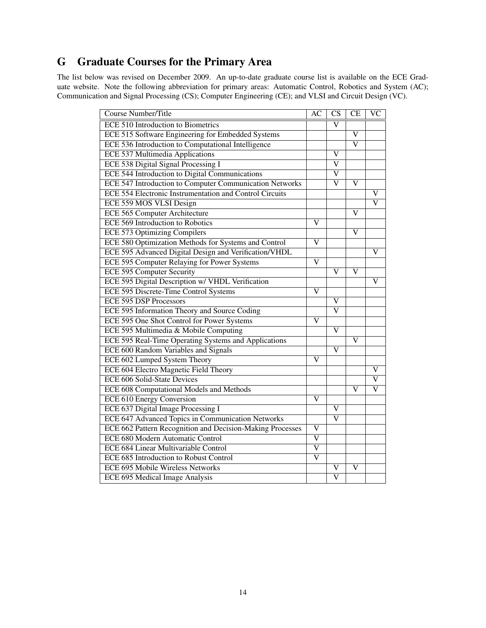# G Graduate Courses for the Primary Area

The list below was revised on December 2009. An up-to-date graduate course list is available on the ECE Graduate website. Note the following abbreviation for primary areas: Automatic Control, Robotics and System (AC); Communication and Signal Processing (CS); Computer Engineering (CE); and VLSI and Circuit Design (VC).

| <b>Course Number/Title</b>                                | $\overline{AC}$         | $\overline{\text{CS}}$  | CE                    | $\overline{\text{VC}}$ |
|-----------------------------------------------------------|-------------------------|-------------------------|-----------------------|------------------------|
| <b>ECE 510 Introduction to Biometrics</b>                 |                         | $\overline{\text{v}}$   |                       |                        |
| ECE 515 Software Engineering for Embedded Systems         |                         |                         | $\overline{\text{V}}$ |                        |
| ECE 536 Introduction to Computational Intelligence        |                         |                         | $\overline{\text{V}}$ |                        |
| <b>ECE 537 Multimedia Applications</b>                    |                         | V                       |                       |                        |
| <b>ECE 538 Digital Signal Processing I</b>                |                         | $\overline{\text{V}}$   |                       |                        |
| ECE 544 Introduction to Digital Communications            |                         | $\overline{\mathsf{V}}$ |                       |                        |
| ECE 547 Introduction to Computer Communication Networks   |                         | V                       | V                     |                        |
| ECE 554 Electronic Instrumentation and Control Circuits   |                         |                         |                       | V                      |
| ECE 559 MOS VLSI Design                                   |                         |                         |                       | v                      |
| <b>ECE 565 Computer Architecture</b>                      |                         |                         | V                     |                        |
| <b>ECE 569 Introduction to Robotics</b>                   | $\overline{\rm v}$      |                         |                       |                        |
| ECE 573 Optimizing Compilers                              |                         |                         | V                     |                        |
| ECE 580 Optimization Methods for Systems and Control      | $\overline{\rm v}$      |                         |                       |                        |
| ECE 595 Advanced Digital Design and Verification/VHDL     |                         |                         |                       | V                      |
| ECE 595 Computer Relaying for Power Systems               | $\overline{\text{V}}$   |                         |                       |                        |
| <b>ECE 595 Computer Security</b>                          |                         | $\mathbf{V}$            | V                     |                        |
| ECE 595 Digital Description w/ VHDL Verification          |                         |                         |                       | V                      |
| ECE 595 Discrete-Time Control Systems                     | $\overline{\mathbf{V}}$ |                         |                       |                        |
| <b>ECE 595 DSP Processors</b>                             |                         | V                       |                       |                        |
| ECE 595 Information Theory and Source Coding              |                         | $\overline{\text{V}}$   |                       |                        |
| ECE 595 One Shot Control for Power Systems                | $\overline{\mathbf{V}}$ |                         |                       |                        |
| ECE 595 Multimedia & Mobile Computing                     |                         | $\overline{\rm v}$      |                       |                        |
| ECE 595 Real-Time Operating Systems and Applications      |                         |                         | V                     |                        |
| <b>ECE 600 Random Variables and Signals</b>               |                         | $\overline{\rm V}$      |                       |                        |
| ECE 602 Lumped System Theory                              | $\overline{\rm v}$      |                         |                       |                        |
| <b>ECE 604 Electro Magnetic Field Theory</b>              |                         |                         |                       | V                      |
| <b>ECE 606 Solid-State Devices</b>                        |                         |                         |                       | V                      |
| ECE 608 Computational Models and Methods                  |                         |                         | V                     | V                      |
| <b>ECE 610 Energy Conversion</b>                          | $\mathbf V$             |                         |                       |                        |
| ECE 637 Digital Image Processing I                        |                         | V                       |                       |                        |
| ECE 647 Advanced Topics in Communication Networks         |                         | $\overline{\text{V}}$   |                       |                        |
| ECE 662 Pattern Recognition and Decision-Making Processes | $\overline{\rm v}$      |                         |                       |                        |
| ECE 680 Modern Automatic Control                          | $\overline{\text{v}}$   |                         |                       |                        |
| <b>ECE 684 Linear Multivariable Control</b>               | $\overline{\rm v}$      |                         |                       |                        |
| ECE 685 Introduction to Robust Control                    | $\overline{\text{v}}$   |                         |                       |                        |
| <b>ECE 695 Mobile Wireless Networks</b>                   |                         | $\overline{\mathsf{V}}$ | $\mathbf{V}$          |                        |
| ECE 695 Medical Image Analysis                            |                         | $\overline{\text{V}}$   |                       |                        |